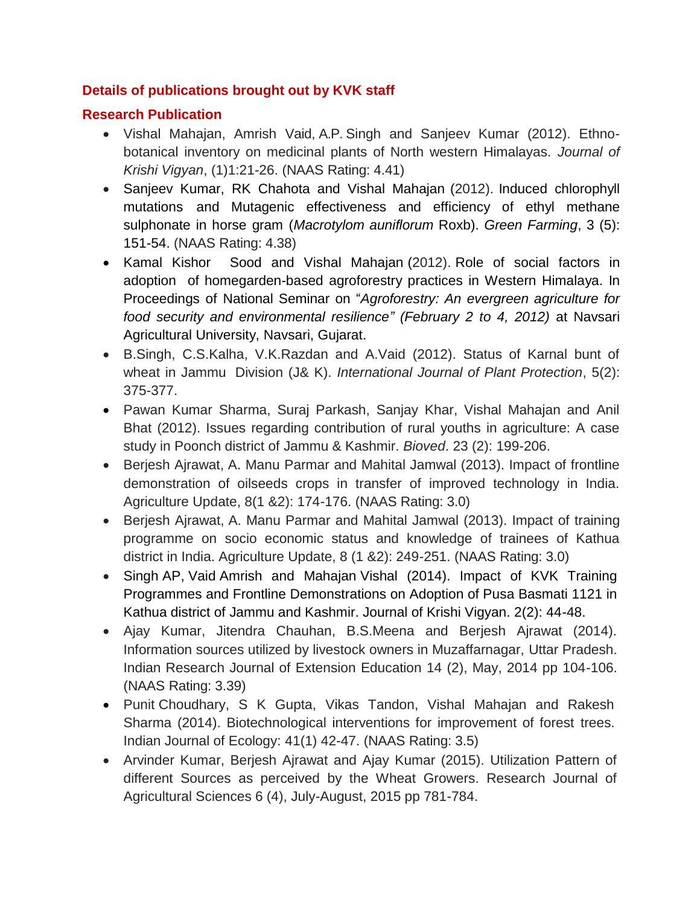## **Details of publications brought out by KVK staff**

## **Research Publication**

- Vishal Mahajan, Amrish Vaid, A.P. Singh and Sanjeev Kumar (2012). Ethnobotanical inventory on medicinal plants of North western Himalayas. *Journal of Krishi Vigyan*, (1)1:21-26. (NAAS Rating: 4.41)
- Sanjeev Kumar, RK Chahota and Vishal Mahajan (2012). Induced chlorophyll mutations and Mutagenic effectiveness and efficiency of ethyl methane sulphonate in horse gram (*Macrotylom auniflorum* Roxb). *Green Farming*, 3 (5): 151-54. (NAAS Rating: 4.38)
- Kamal Kishor Sood and Vishal Mahajan (2012). Role of social factors in adoption of homegarden-based agroforestry practices in Western Himalaya. In Proceedings of National Seminar on "*Agroforestry: An evergreen agriculture for food security and environmental resilience" (February 2 to 4, 2012)* at Navsari Agricultural University, Navsari, Gujarat.
- B.Singh, C.S.Kalha, V.K.Razdan and A.Vaid (2012). Status of Karnal bunt of wheat in Jammu Division (J& K). *International Journal of Plant Protection*, 5(2): 375-377.
- Pawan Kumar Sharma, Suraj Parkash, Sanjay Khar, Vishal Mahajan and Anil Bhat (2012). Issues regarding contribution of rural youths in agriculture: A case study in Poonch district of Jammu & Kashmir. *Bioved*. 23 (2): 199-206.
- Berjesh Ajrawat, A. Manu Parmar and Mahital Jamwal (2013). Impact of frontline demonstration of oilseeds crops in transfer of improved technology in India. Agriculture Update, 8(1 &2): 174-176. (NAAS Rating: 3.0)
- Berjesh Ajrawat, A. Manu Parmar and Mahital Jamwal (2013). Impact of training programme on socio economic status and knowledge of trainees of Kathua district in India. Agriculture Update, 8 (1 &2): 249-251. (NAAS Rating: 3.0)
- Singh AP, Vaid Amrish and Mahajan Vishal (2014). Impact of KVK Training Programmes and Frontline Demonstrations on Adoption of Pusa Basmati 1121 in Kathua district of Jammu and Kashmir. Journal of Krishi Vigyan. 2(2): 44-48.
- Ajay Kumar, Jitendra Chauhan, B.S.Meena and Berjesh Ajrawat (2014). Information sources utilized by livestock owners in Muzaffarnagar, Uttar Pradesh. Indian Research Journal of Extension Education 14 (2), May, 2014 pp 104-106. (NAAS Rating: 3.39)
- Punit Choudhary, S K Gupta, Vikas Tandon, Vishal Mahajan and Rakesh Sharma (2014). Biotechnological interventions for improvement of forest trees. Indian Journal of Ecology: 41(1) 42-47. (NAAS Rating: 3.5)
- Arvinder Kumar, Berjesh Ajrawat and Ajay Kumar (2015). Utilization Pattern of different Sources as perceived by the Wheat Growers. Research Journal of Agricultural Sciences 6 (4), July-August, 2015 pp 781-784.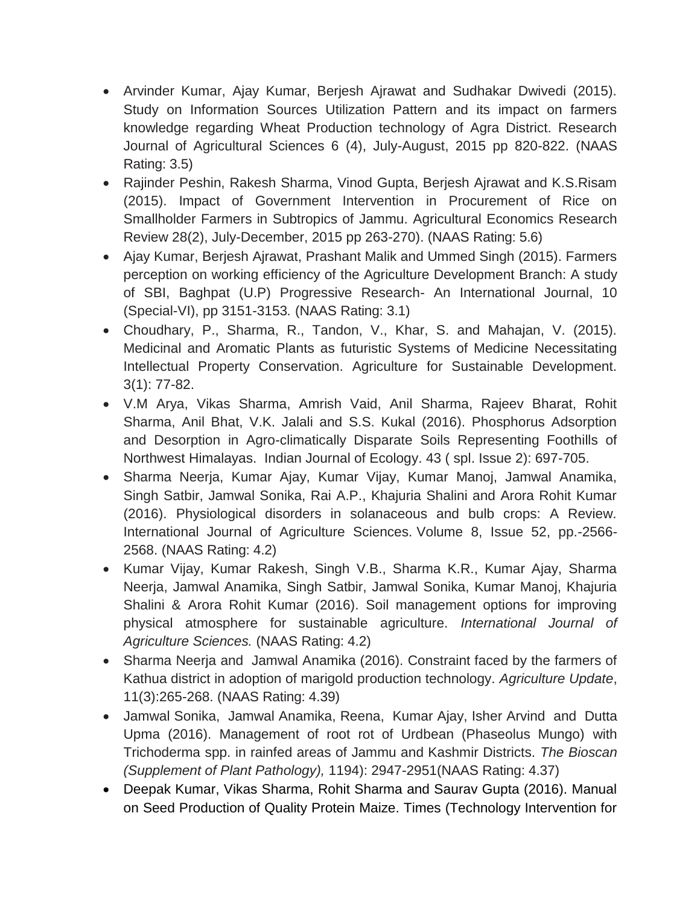- Arvinder Kumar, Ajay Kumar, Berjesh Ajrawat and Sudhakar Dwivedi (2015). Study on Information Sources Utilization Pattern and its impact on farmers knowledge regarding Wheat Production technology of Agra District. Research Journal of Agricultural Sciences 6 (4), July-August, 2015 pp 820-822. (NAAS Rating: 3.5)
- Rajinder Peshin, Rakesh Sharma, Vinod Gupta, Berjesh Ajrawat and K.S.Risam (2015). Impact of Government Intervention in Procurement of Rice on Smallholder Farmers in Subtropics of Jammu. Agricultural Economics Research Review 28(2), July-December, 2015 pp 263-270). (NAAS Rating: 5.6)
- Ajay Kumar, Berjesh Ajrawat, Prashant Malik and Ummed Singh (2015). Farmers perception on working efficiency of the Agriculture Development Branch: A study of SBI, Baghpat (U.P) Progressive Research- An International Journal, 10 (Special-VI), pp 3151-3153*.* (NAAS Rating: 3.1)
- Choudhary, P., Sharma, R., Tandon, V., Khar, S. and Mahajan, V. (2015). Medicinal and Aromatic Plants as futuristic Systems of Medicine Necessitating Intellectual Property Conservation. Agriculture for Sustainable Development. 3(1): 77-82.
- V.M Arya, Vikas Sharma, Amrish Vaid, Anil Sharma, Rajeev Bharat, Rohit Sharma, Anil Bhat, V.K. Jalali and S.S. Kukal (2016). Phosphorus Adsorption and Desorption in Agro-climatically Disparate Soils Representing Foothills of Northwest Himalayas. Indian Journal of Ecology. 43 ( spl. Issue 2): 697-705.
- Sharma Neerja, Kumar Ajay, Kumar Vijay, Kumar Manoj, Jamwal Anamika, Singh Satbir, Jamwal Sonika, Rai A.P., Khajuria Shalini and Arora Rohit Kumar (2016). Physiological disorders in solanaceous and bulb crops: A Review. International Journal of Agriculture Sciences. Volume 8, Issue 52, pp.-2566- 2568. (NAAS Rating: 4.2)
- Kumar Vijay, Kumar Rakesh, Singh V.B., Sharma K.R., Kumar Ajay, Sharma Neerja, Jamwal Anamika, Singh Satbir, Jamwal Sonika, Kumar Manoj, Khajuria Shalini & Arora Rohit Kumar (2016). Soil management options for improving physical atmosphere for sustainable agriculture. *International Journal of Agriculture Sciences.* (NAAS Rating: 4.2)
- Sharma Neerja and Jamwal Anamika (2016). Constraint faced by the farmers of Kathua district in adoption of marigold production technology. *Agriculture Update*, 11(3):265-268. (NAAS Rating: 4.39)
- Jamwal Sonika, Jamwal Anamika, Reena, Kumar Ajay, Isher Arvind and Dutta Upma (2016). Management of root rot of Urdbean (Phaseolus Mungo) with Trichoderma spp. in rainfed areas of Jammu and Kashmir Districts. *The Bioscan (Supplement of Plant Pathology),* 1194): 2947-2951(NAAS Rating: 4.37)
- Deepak Kumar, Vikas Sharma, Rohit Sharma and Saurav Gupta (2016). Manual on Seed Production of Quality Protein Maize. Times (Technology Intervention for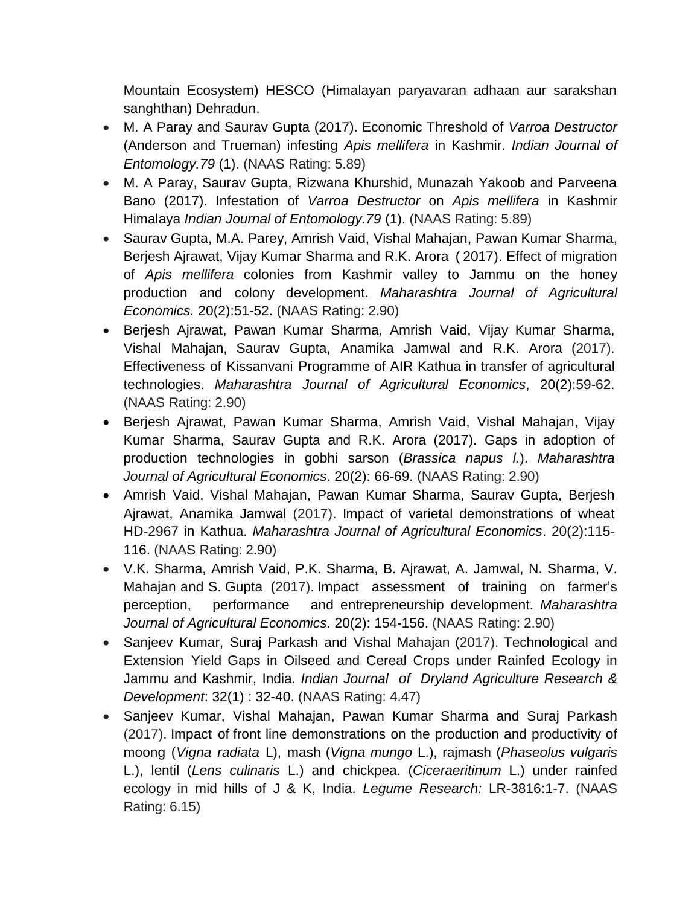Mountain Ecosystem) HESCO (Himalayan paryavaran adhaan aur sarakshan sanghthan) Dehradun.

- M. A Paray and Saurav Gupta (2017). Economic Threshold of *Varroa Destructor* (Anderson and Trueman) infesting *Apis mellifera* in Kashmir. *Indian Journal of Entomology.79* (1). (NAAS Rating: 5.89)
- M. A Paray, Saurav Gupta, Rizwana Khurshid, Munazah Yakoob and Parveena Bano (2017). Infestation of *Varroa Destructor* on *Apis mellifera* in Kashmir Himalaya *Indian Journal of Entomology.79* (1). (NAAS Rating: 5.89)
- Saurav Gupta, M.A. Parey, Amrish Vaid, Vishal Mahajan, Pawan Kumar Sharma, Berjesh Ajrawat, Vijay Kumar Sharma and R.K. Arora ( 2017). Effect of migration of *Apis mellifera* colonies from Kashmir valley to Jammu on the honey production and colony development. *Maharashtra Journal of Agricultural Economics.* 20(2):51-52. (NAAS Rating: 2.90)
- Berjesh Ajrawat, Pawan Kumar Sharma, Amrish Vaid, Vijay Kumar Sharma, Vishal Mahajan, Saurav Gupta, Anamika Jamwal and R.K. Arora (2017). Effectiveness of Kissanvani Programme of AIR Kathua in transfer of agricultural technologies. *Maharashtra Journal of Agricultural Economics*, 20(2):59-62. (NAAS Rating: 2.90)
- Berjesh Ajrawat, Pawan Kumar Sharma, Amrish Vaid, Vishal Mahajan, Vijay Kumar Sharma, Saurav Gupta and R.K. Arora (2017). Gaps in adoption of production technologies in gobhi sarson (*Brassica napus l.*). *Maharashtra Journal of Agricultural Economics*. 20(2): 66-69. (NAAS Rating: 2.90)
- Amrish Vaid, Vishal Mahajan, Pawan Kumar Sharma, Saurav Gupta, Berjesh Ajrawat, Anamika Jamwal (2017). Impact of varietal demonstrations of wheat HD-2967 in Kathua. *Maharashtra Journal of Agricultural Economics*. 20(2):115- 116. (NAAS Rating: 2.90)
- V.K. Sharma, Amrish Vaid, P.K. Sharma, B. Ajrawat, A. Jamwal, N. Sharma, V. Mahajan and S. Gupta (2017). Impact assessment of training on farmer"s perception, performance and entrepreneurship development. *Maharashtra Journal of Agricultural Economics*. 20(2): 154-156. (NAAS Rating: 2.90)
- Sanjeev Kumar, Suraj Parkash and Vishal Mahajan (2017). Technological and Extension Yield Gaps in Oilseed and Cereal Crops under Rainfed Ecology in Jammu and Kashmir, India. *Indian Journal of Dryland Agriculture Research & Development*: 32(1) : 32-40. (NAAS Rating: 4.47)
- Sanjeev Kumar, Vishal Mahajan, Pawan Kumar Sharma and Suraj Parkash (2017). Impact of front line demonstrations on the production and productivity of moong (*Vigna radiata* L), mash (*Vigna mungo* L.), rajmash (*Phaseolus vulgaris* L.), lentil (*Lens culinaris* L.) and chickpea. (*Ciceraeritinum* L.) under rainfed ecology in mid hills of J & K, India. *Legume Research:* LR-3816:1-7. (NAAS Rating: 6.15)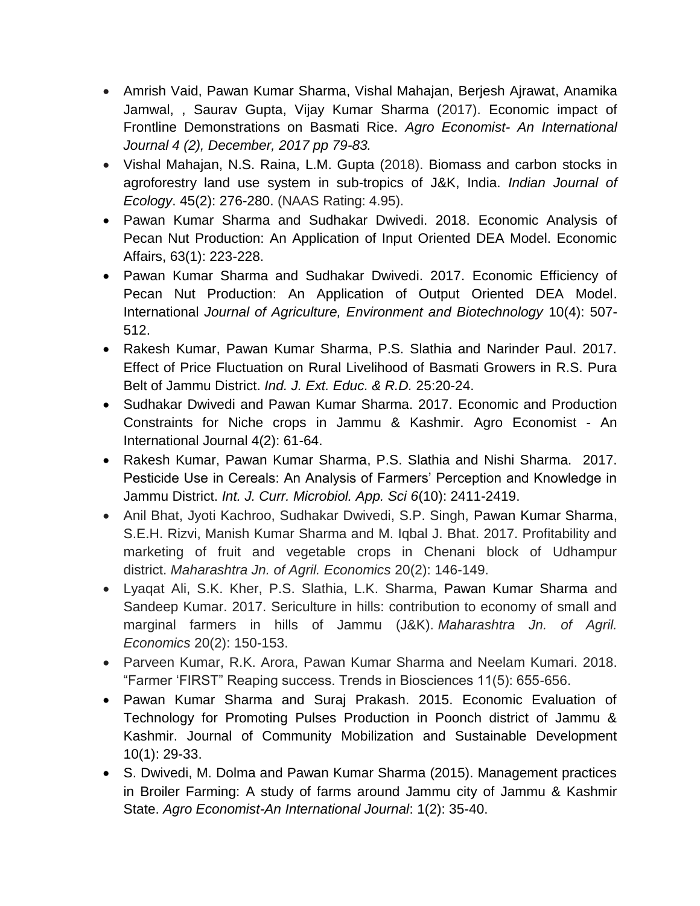- Amrish Vaid, Pawan Kumar Sharma, Vishal Mahajan, Berjesh Ajrawat, Anamika Jamwal, , Saurav Gupta, Vijay Kumar Sharma (2017). Economic impact of Frontline Demonstrations on Basmati Rice. *Agro Economist- An International Journal 4 (2), December, 2017 pp 79-83.*
- Vishal Mahajan, N.S. Raina, L.M. Gupta (2018). Biomass and carbon stocks in agroforestry land use system in sub-tropics of J&K, India. *Indian Journal of Ecology*. 45(2): 276-280. (NAAS Rating: 4.95).
- Pawan Kumar Sharma and Sudhakar Dwivedi. 2018. Economic Analysis of Pecan Nut Production: An Application of Input Oriented DEA Model. Economic Affairs, 63(1): 223-228.
- Pawan Kumar Sharma and Sudhakar Dwivedi. 2017. Economic Efficiency of Pecan Nut Production: An Application of Output Oriented DEA Model. International *Journal of Agriculture, Environment and Biotechnology* 10(4): 507- 512.
- Rakesh Kumar, Pawan Kumar Sharma, P.S. Slathia and Narinder Paul. 2017. Effect of Price Fluctuation on Rural Livelihood of Basmati Growers in R.S. Pura Belt of Jammu District. *Ind. J. Ext. Educ. & R.D.* 25:20-24.
- Sudhakar Dwivedi and Pawan Kumar Sharma. 2017. Economic and Production Constraints for Niche crops in Jammu & Kashmir. Agro Economist - An International Journal 4(2): 61-64.
- Rakesh Kumar, Pawan Kumar Sharma, P.S. Slathia and Nishi Sharma. 2017. Pesticide Use in Cereals: An Analysis of Farmers" Perception and Knowledge in Jammu District. *Int. J. Curr. Microbiol. App. Sci 6*(10): 2411-2419.
- Anil Bhat, Jyoti Kachroo, Sudhakar Dwivedi, S.P. Singh, Pawan Kumar Sharma, S.E.H. Rizvi, Manish Kumar Sharma and M. Iqbal J. Bhat. 2017. Profitability and marketing of fruit and vegetable crops in Chenani block of Udhampur district. *Maharashtra Jn. of Agril. Economics* 20(2): 146-149.
- Lyaqat Ali, S.K. Kher, P.S. Slathia, L.K. Sharma, Pawan Kumar Sharma and Sandeep Kumar. 2017. Sericulture in hills: contribution to economy of small and marginal farmers in hills of Jammu (J&K). *Maharashtra Jn. of Agril. Economics* 20(2): 150-153.
- Parveen Kumar, R.K. Arora, Pawan Kumar Sharma and Neelam Kumari. 2018. "Farmer "FIRST" Reaping success. Trends in Biosciences 11(5): 655-656.
- Pawan Kumar Sharma and Suraj Prakash. 2015. Economic Evaluation of Technology for Promoting Pulses Production in Poonch district of Jammu & Kashmir. Journal of Community Mobilization and Sustainable Development 10(1): 29-33.
- S. Dwivedi, M. Dolma and Pawan Kumar Sharma (2015). Management practices in Broiler Farming: A study of farms around Jammu city of Jammu & Kashmir State. *Agro Economist-An International Journal*: 1(2): 35-40.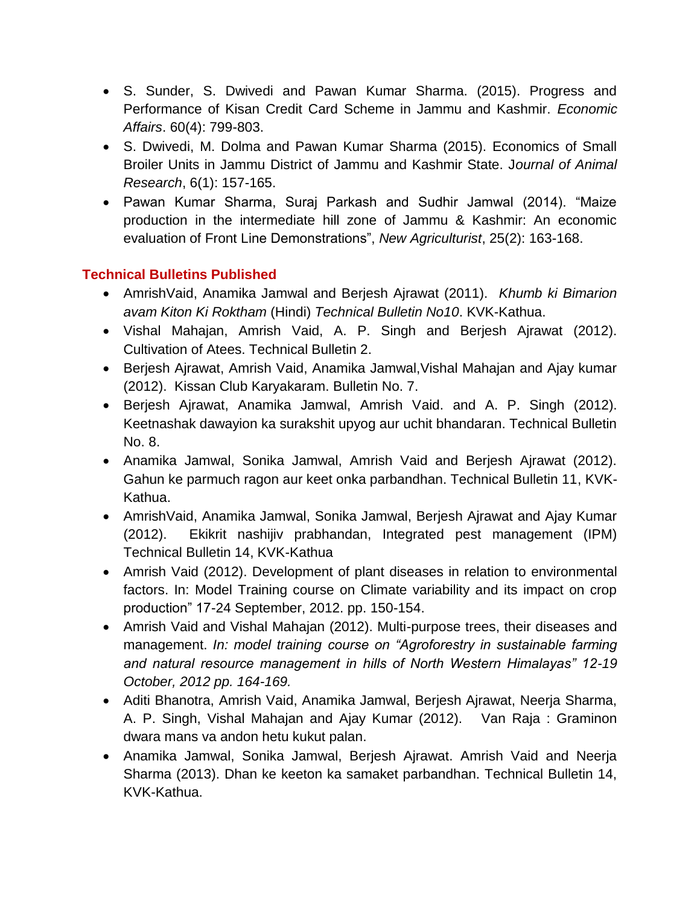- S. Sunder, S. Dwivedi and Pawan Kumar Sharma. (2015). Progress and Performance of Kisan Credit Card Scheme in Jammu and Kashmir. *Economic Affairs*. 60(4): 799-803.
- S. Dwivedi, M. Dolma and Pawan Kumar Sharma (2015). Economics of Small Broiler Units in Jammu District of Jammu and Kashmir State. J*ournal of Animal Research*, 6(1): 157-165.
- Pawan Kumar Sharma, Suraj Parkash and Sudhir Jamwal (2014). "Maize production in the intermediate hill zone of Jammu & Kashmir: An economic evaluation of Front Line Demonstrations", *New Agriculturist*, 25(2): 163-168.

## **Technical Bulletins Published**

- AmrishVaid, Anamika Jamwal and Berjesh Ajrawat (2011). *Khumb ki Bimarion avam Kiton Ki Roktham* (Hindi) *Technical Bulletin No10*. KVK-Kathua.
- Vishal Mahajan, Amrish Vaid, A. P. Singh and Berjesh Ajrawat (2012). Cultivation of Atees. Technical Bulletin 2.
- Berjesh Ajrawat, Amrish Vaid, Anamika Jamwal,Vishal Mahajan and Ajay kumar (2012). Kissan Club Karyakaram. Bulletin No. 7.
- Berjesh Ajrawat, Anamika Jamwal, Amrish Vaid. and A. P. Singh (2012). Keetnashak dawayion ka surakshit upyog aur uchit bhandaran. Technical Bulletin No. 8.
- Anamika Jamwal, Sonika Jamwal, Amrish Vaid and Berjesh Ajrawat (2012). Gahun ke parmuch ragon aur keet onka parbandhan. Technical Bulletin 11, KVK-Kathua.
- AmrishVaid, Anamika Jamwal, Sonika Jamwal, Berjesh Ajrawat and Ajay Kumar (2012). Ekikrit nashijiv prabhandan, Integrated pest management (IPM) Technical Bulletin 14, KVK-Kathua
- Amrish Vaid (2012). Development of plant diseases in relation to environmental factors. In: Model Training course on Climate variability and its impact on crop production" 17-24 September, 2012. pp. 150-154.
- Amrish Vaid and Vishal Mahajan (2012). Multi-purpose trees, their diseases and management. *In: model training course on "Agroforestry in sustainable farming and natural resource management in hills of North Western Himalayas" 12-19 October, 2012 pp. 164-169.*
- Aditi Bhanotra, Amrish Vaid, Anamika Jamwal, Berjesh Ajrawat, Neerja Sharma, A. P. Singh, Vishal Mahajan and Ajay Kumar (2012). Van Raja : Graminon dwara mans va andon hetu kukut palan.
- Anamika Jamwal, Sonika Jamwal, Berjesh Ajrawat. Amrish Vaid and Neerja Sharma (2013). Dhan ke keeton ka samaket parbandhan. Technical Bulletin 14, KVK-Kathua.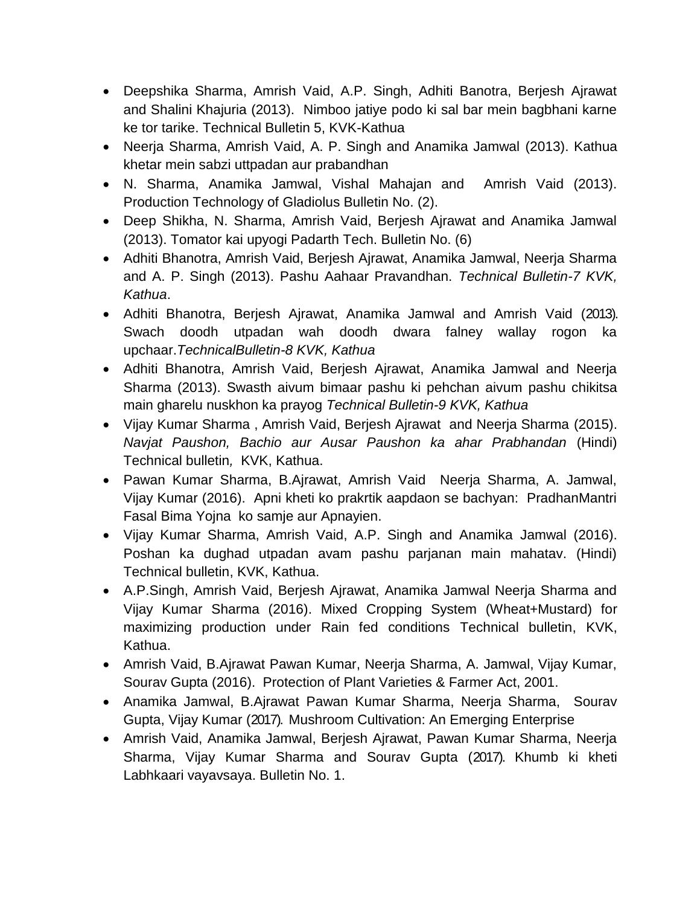- Deepshika Sharma, Amrish Vaid, A.P. Singh, Adhiti Banotra, Berjesh Ajrawat and Shalini Khajuria (2013). Nimboo jatiye podo ki sal bar mein bagbhani karne ke tor tarike. Technical Bulletin 5, KVK-Kathua
- Neerja Sharma, Amrish Vaid, A. P. Singh and Anamika Jamwal (2013). Kathua khetar mein sabzi uttpadan aur prabandhan
- N. Sharma, Anamika Jamwal, Vishal Mahajan and Amrish Vaid (2013). Production Technology of Gladiolus Bulletin No. (2).
- Deep Shikha, N. Sharma, Amrish Vaid, Berjesh Ajrawat and Anamika Jamwal (2013). Tomator kai upyogi Padarth Tech. Bulletin No. (6)
- Adhiti Bhanotra, Amrish Vaid, Berjesh Ajrawat, Anamika Jamwal, Neerja Sharma and A. P. Singh (2013). Pashu Aahaar Pravandhan. *Technical Bulletin-7 KVK, Kathua*.
- Adhiti Bhanotra, Berjesh Ajrawat, Anamika Jamwal and Amrish Vaid (2013). Swach doodh utpadan wah doodh dwara falney wallay rogon ka upchaar.*TechnicalBulletin-8 KVK, Kathua*
- Adhiti Bhanotra, Amrish Vaid, Berjesh Ajrawat, Anamika Jamwal and Neerja Sharma (2013). Swasth aivum bimaar pashu ki pehchan aivum pashu chikitsa main gharelu nuskhon ka prayog *Technical Bulletin-9 KVK, Kathua*
- Vijay Kumar Sharma , Amrish Vaid, Berjesh Ajrawat and Neerja Sharma (2015). *Navjat Paushon, Bachio aur Ausar Paushon ka ahar Prabhandan* (Hindi) Technical bulletin*,* KVK, Kathua.
- Pawan Kumar Sharma, B.Ajrawat, Amrish Vaid Neerja Sharma, A. Jamwal, Vijay Kumar (2016). Apni kheti ko prakrtik aapdaon se bachyan: PradhanMantri Fasal Bima Yojna ko samje aur Apnayien.
- Vijay Kumar Sharma, Amrish Vaid, A.P. Singh and Anamika Jamwal (2016). Poshan ka dughad utpadan avam pashu parjanan main mahatav. (Hindi) Technical bulletin, KVK, Kathua.
- A.P.Singh, Amrish Vaid, Berjesh Ajrawat, Anamika Jamwal Neerja Sharma and Vijay Kumar Sharma (2016). Mixed Cropping System (Wheat+Mustard) for maximizing production under Rain fed conditions Technical bulletin, KVK, Kathua.
- Amrish Vaid, B.Ajrawat Pawan Kumar, Neerja Sharma, A. Jamwal, Vijay Kumar, Sourav Gupta (2016). Protection of Plant Varieties & Farmer Act, 2001.
- Anamika Jamwal, B.Ajrawat Pawan Kumar Sharma, Neerja Sharma, Sourav Gupta, Vijay Kumar (2017). Mushroom Cultivation: An Emerging Enterprise
- Amrish Vaid, Anamika Jamwal, Berjesh Ajrawat, Pawan Kumar Sharma, Neerja Sharma, Vijay Kumar Sharma and Sourav Gupta (2017). Khumb ki kheti Labhkaari vayavsaya. Bulletin No. 1.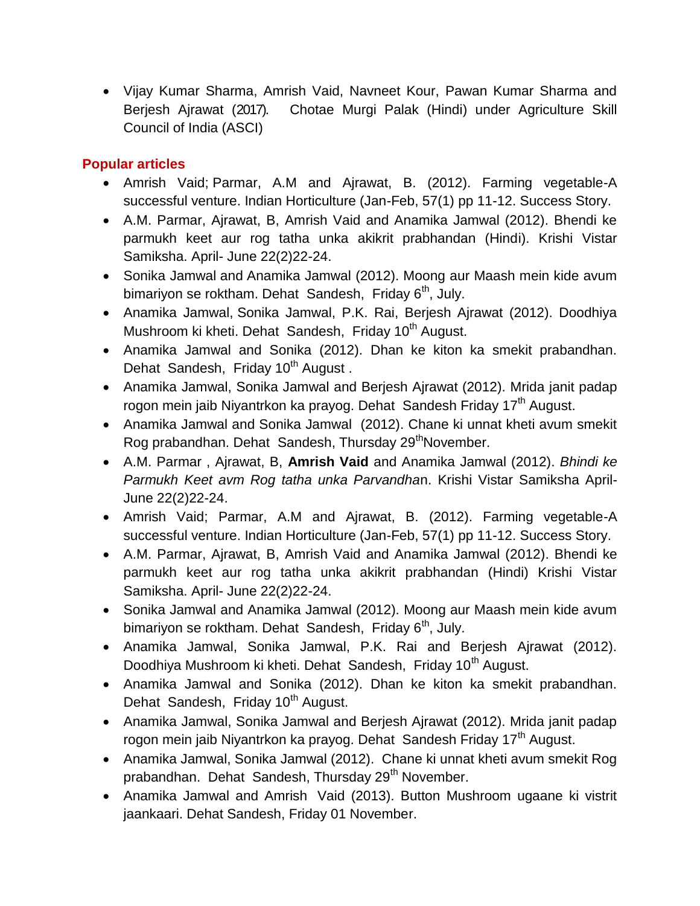Vijay Kumar Sharma, Amrish Vaid, Navneet Kour, Pawan Kumar Sharma and Berjesh Ajrawat (2017). Chotae Murgi Palak (Hindi) under Agriculture Skill Council of India (ASCI)

# **Popular articles**

- Amrish Vaid; Parmar, A.M and Ajrawat, B. (2012). Farming vegetable-A successful venture. Indian Horticulture (Jan-Feb, 57(1) pp 11-12. Success Story.
- A.M. Parmar, Ajrawat, B, Amrish Vaid and Anamika Jamwal (2012). Bhendi ke parmukh keet aur rog tatha unka akikrit prabhandan (Hindi). Krishi Vistar Samiksha. April- June 22(2)22-24.
- Sonika Jamwal and Anamika Jamwal (2012). Moong aur Maash mein kide avum bimariyon se roktham. Dehat Sandesh, Friday 6<sup>th</sup>, July.
- Anamika Jamwal, Sonika Jamwal, P.K. Rai, Berjesh Ajrawat (2012). Doodhiya Mushroom ki kheti. Dehat Sandesh, Friday 10<sup>th</sup> August.
- Anamika Jamwal and Sonika (2012). Dhan ke kiton ka smekit prabandhan. Dehat Sandesh, Friday 10<sup>th</sup> August,
- Anamika Jamwal, Sonika Jamwal and Berjesh Ajrawat (2012). Mrida janit padap rogon mein jaib Niyantrkon ka prayog. Dehat Sandesh Friday 17<sup>th</sup> August.
- Anamika Jamwal and Sonika Jamwal (2012). Chane ki unnat kheti avum smekit Rog prabandhan. Dehat Sandesh, Thursday 29<sup>th</sup>November.
- A.M. Parmar , Ajrawat, B, **Amrish Vaid** and Anamika Jamwal (2012). *Bhindi ke Parmukh Keet avm Rog tatha unka Parvandha*n. Krishi Vistar Samiksha April-June 22(2)22-24.
- Amrish Vaid; Parmar, A.M and Airawat, B. (2012). Farming vegetable-A successful venture. Indian Horticulture (Jan-Feb, 57(1) pp 11-12. Success Story.
- A.M. Parmar, Ajrawat, B, Amrish Vaid and Anamika Jamwal (2012). Bhendi ke parmukh keet aur rog tatha unka akikrit prabhandan (Hindi) Krishi Vistar Samiksha. April- June 22(2)22-24.
- Sonika Jamwal and Anamika Jamwal (2012). Moong aur Maash mein kide avum bimariyon se roktham. Dehat Sandesh, Friday  $6<sup>th</sup>$ , July.
- Anamika Jamwal, Sonika Jamwal, P.K. Rai and Berjesh Ajrawat (2012). Doodhiya Mushroom ki kheti. Dehat Sandesh, Friday 10<sup>th</sup> August.
- Anamika Jamwal and Sonika (2012). Dhan ke kiton ka smekit prabandhan. Dehat Sandesh, Friday 10<sup>th</sup> August.
- Anamika Jamwal, Sonika Jamwal and Berjesh Ajrawat (2012). Mrida janit padap rogon mein jaib Niyantrkon ka prayog. Dehat Sandesh Friday 17<sup>th</sup> August.
- Anamika Jamwal, Sonika Jamwal (2012). Chane ki unnat kheti avum smekit Rog prabandhan. Dehat Sandesh, Thursday 29<sup>th</sup> November.
- Anamika Jamwal and Amrish Vaid (2013). Button Mushroom ugaane ki vistrit jaankaari. Dehat Sandesh, Friday 01 November.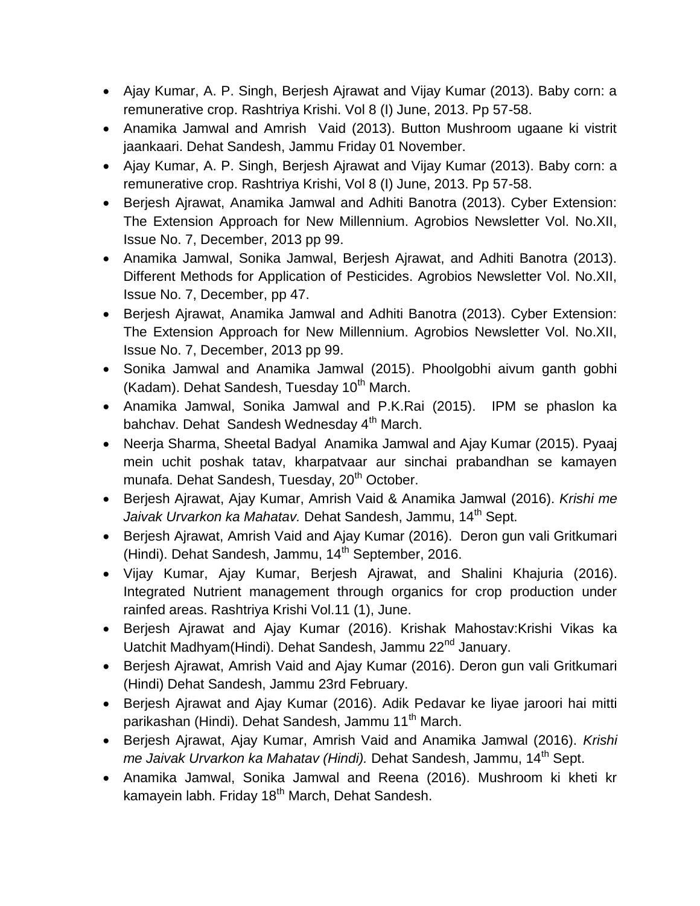- Ajay Kumar, A. P. Singh, Berjesh Ajrawat and Vijay Kumar (2013). Baby corn: a remunerative crop. Rashtriya Krishi. Vol 8 (I) June, 2013. Pp 57-58.
- Anamika Jamwal and Amrish Vaid (2013). Button Mushroom ugaane ki vistrit jaankaari. Dehat Sandesh, Jammu Friday 01 November.
- Ajay Kumar, A. P. Singh, Berjesh Ajrawat and Vijay Kumar (2013). Baby corn: a remunerative crop. Rashtriya Krishi, Vol 8 (I) June, 2013. Pp 57-58.
- Berjesh Ajrawat, Anamika Jamwal and Adhiti Banotra (2013). Cyber Extension: The Extension Approach for New Millennium. Agrobios Newsletter Vol. No.XII, Issue No. 7, December, 2013 pp 99.
- Anamika Jamwal, Sonika Jamwal, Berjesh Ajrawat, and Adhiti Banotra (2013). Different Methods for Application of Pesticides. Agrobios Newsletter Vol. No.XII, Issue No. 7, December, pp 47.
- Berjesh Ajrawat, Anamika Jamwal and Adhiti Banotra (2013). Cyber Extension: The Extension Approach for New Millennium. Agrobios Newsletter Vol. No.XII, Issue No. 7, December, 2013 pp 99.
- Sonika Jamwal and Anamika Jamwal (2015). Phoolgobhi aivum ganth gobhi (Kadam). Dehat Sandesh, Tuesday  $10<sup>th</sup>$  March.
- Anamika Jamwal, Sonika Jamwal and P.K.Rai (2015). IPM se phaslon ka bahchav. Dehat Sandesh Wednesday 4<sup>th</sup> March.
- Neerja Sharma, Sheetal Badyal Anamika Jamwal and Ajay Kumar (2015). Pyaaj mein uchit poshak tatav, kharpatvaar aur sinchai prabandhan se kamayen munafa. Dehat Sandesh, Tuesday, 20<sup>th</sup> October.
- Berjesh Ajrawat, Ajay Kumar, Amrish Vaid & Anamika Jamwal (2016). *Krishi me*  Jaivak Urvarkon ka Mahatav. Dehat Sandesh, Jammu, 14<sup>th</sup> Sept.
- Berjesh Ajrawat, Amrish Vaid and Ajay Kumar (2016). Deron gun vali Gritkumari (Hindi). Dehat Sandesh, Jammu, 14<sup>th</sup> September, 2016.
- Vijay Kumar, Ajay Kumar, Berjesh Ajrawat, and Shalini Khajuria (2016). Integrated Nutrient management through organics for crop production under rainfed areas. Rashtriya Krishi Vol.11 (1), June.
- Berjesh Ajrawat and Ajay Kumar (2016). Krishak Mahostav:Krishi Vikas ka Uatchit Madhyam(Hindi). Dehat Sandesh, Jammu 22<sup>nd</sup> January.
- Beriesh Airawat, Amrish Vaid and Ajay Kumar (2016). Deron gun vali Gritkumari (Hindi) Dehat Sandesh, Jammu 23rd February.
- Berjesh Ajrawat and Ajay Kumar (2016). Adik Pedavar ke liyae jaroori hai mitti parikashan (Hindi). Dehat Sandesh, Jammu 11<sup>th</sup> March.
- Berjesh Ajrawat, Ajay Kumar, Amrish Vaid and Anamika Jamwal (2016). *Krishi me Jaivak Urvarkon ka Mahatav (Hindi).* Dehat Sandesh, Jammu, 14th Sept.
- Anamika Jamwal, Sonika Jamwal and Reena (2016). Mushroom ki kheti kr kamayein labh. Friday 18<sup>th</sup> March, Dehat Sandesh.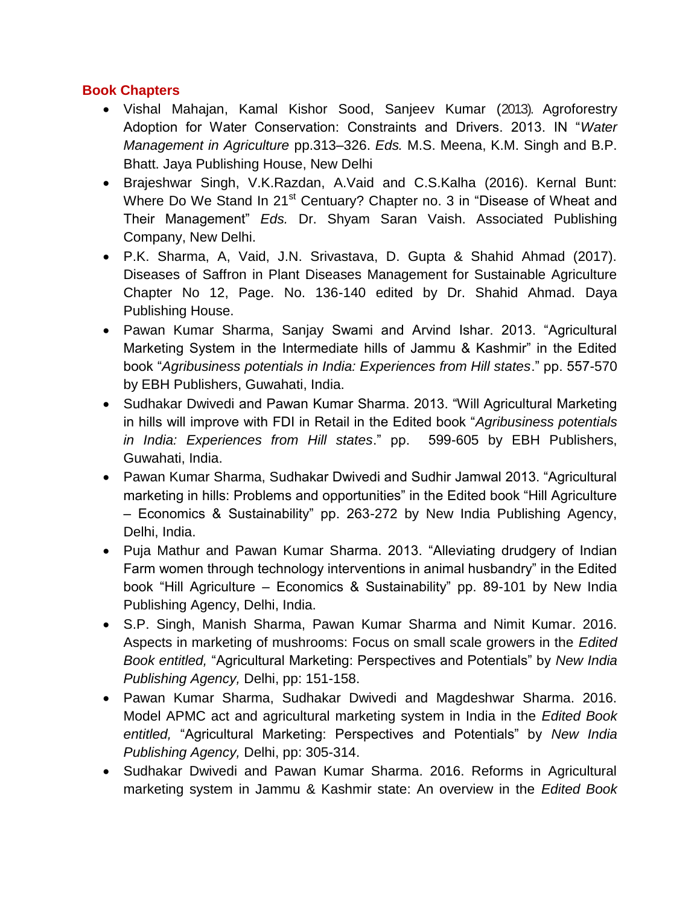#### **Book Chapters**

- Vishal Mahajan, Kamal Kishor Sood, Sanjeev Kumar (2013). Agroforestry Adoption for Water Conservation: Constraints and Drivers. 2013. IN "*Water Management in Agriculture* pp.313–326. *Eds.* M.S. Meena, K.M. Singh and B.P. Bhatt. Jaya Publishing House, New Delhi
- Brajeshwar Singh, V.K.Razdan, A.Vaid and C.S.Kalha (2016). Kernal Bunt: Where Do We Stand In 21<sup>st</sup> Centuary? Chapter no. 3 in "Disease of Wheat and Their Management" *Eds.* Dr. Shyam Saran Vaish. Associated Publishing Company, New Delhi.
- P.K. Sharma, A, Vaid, J.N. Srivastava, D. Gupta & Shahid Ahmad (2017). Diseases of Saffron in Plant Diseases Management for Sustainable Agriculture Chapter No 12, Page. No. 136-140 edited by Dr. Shahid Ahmad. Daya Publishing House.
- Pawan Kumar Sharma, Sanjay Swami and Arvind Ishar. 2013. "Agricultural Marketing System in the Intermediate hills of Jammu & Kashmir" in the Edited book "*Agribusiness potentials in India: Experiences from Hill states*." pp. 557-570 by EBH Publishers, Guwahati, India.
- Sudhakar Dwivedi and Pawan Kumar Sharma. 2013. "Will Agricultural Marketing in hills will improve with FDI in Retail in the Edited book "*Agribusiness potentials in India: Experiences from Hill states*." pp. 599-605 by EBH Publishers, Guwahati, India.
- Pawan Kumar Sharma, Sudhakar Dwivedi and Sudhir Jamwal 2013. "Agricultural marketing in hills: Problems and opportunities" in the Edited book "Hill Agriculture – Economics & Sustainability" pp. 263-272 by New India Publishing Agency, Delhi, India.
- Puja Mathur and Pawan Kumar Sharma. 2013. "Alleviating drudgery of Indian Farm women through technology interventions in animal husbandry" in the Edited book "Hill Agriculture – Economics & Sustainability" pp. 89-101 by New India Publishing Agency, Delhi, India.
- S.P. Singh, Manish Sharma, Pawan Kumar Sharma and Nimit Kumar. 2016. Aspects in marketing of mushrooms: Focus on small scale growers in the *Edited Book entitled,* "Agricultural Marketing: Perspectives and Potentials" by *New India Publishing Agency,* Delhi, pp: 151-158.
- Pawan Kumar Sharma, Sudhakar Dwivedi and Magdeshwar Sharma. 2016. Model APMC act and agricultural marketing system in India in the *Edited Book entitled,* "Agricultural Marketing: Perspectives and Potentials" by *New India Publishing Agency,* Delhi, pp: 305-314.
- Sudhakar Dwivedi and Pawan Kumar Sharma. 2016. Reforms in Agricultural marketing system in Jammu & Kashmir state: An overview in the *Edited Book*